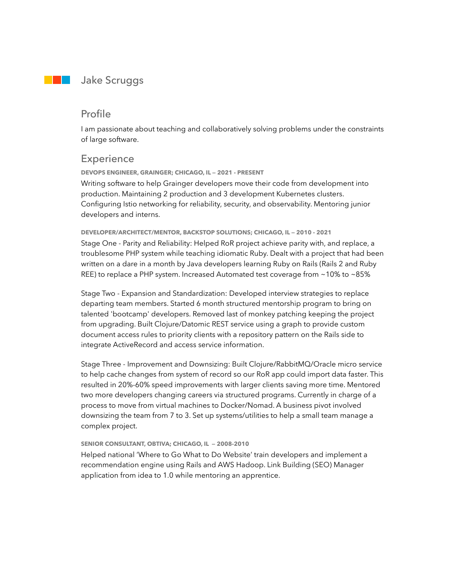# Jake Scruggs

## Profile

I am passionate about teaching and collaboratively solving problems under the constraints of large software.

### **Experience**

**DEVOPS ENGINEER, GRAINGER; CHICAGO, IL — 2021 - PRESENT**

Writing software to help Grainger developers move their code from development into production. Maintaining 2 production and 3 development Kubernetes clusters. Configuring Istio networking for reliability, security, and observability. Mentoring junior developers and interns.

#### **DEVELOPER/ARCHITECT/MENTOR, BACKSTOP SOLUTIONS; CHICAGO, IL — 2010 - 2021**

Stage One - Parity and Reliability: Helped RoR project achieve parity with, and replace, a troublesome PHP system while teaching idiomatic Ruby. Dealt with a project that had been written on a dare in a month by Java developers learning Ruby on Rails (Rails 2 and Ruby REE) to replace a PHP system. Increased Automated test coverage from ~10% to ~85%

Stage Two - Expansion and Standardization: Developed interview strategies to replace departing team members. Started 6 month structured mentorship program to bring on talented 'bootcamp' developers. Removed last of monkey patching keeping the project from upgrading. Built Clojure/Datomic REST service using a graph to provide custom document access rules to priority clients with a repository pattern on the Rails side to integrate ActiveRecord and access service information.

Stage Three - Improvement and Downsizing: Built Clojure/RabbitMQ/Oracle micro service to help cache changes from system of record so our RoR app could import data faster. This resulted in 20%-60% speed improvements with larger clients saving more time. Mentored two more developers changing careers via structured programs. Currently in charge of a process to move from virtual machines to Docker/Nomad. A business pivot involved downsizing the team from 7 to 3. Set up systems/utilities to help a small team manage a complex project.

#### **SENIOR CONSULTANT, OBTIVA; CHICAGO, IL — 2008-2010**

Helped national 'Where to Go What to Do Website' train developers and implement a recommendation engine using Rails and AWS Hadoop. Link Building (SEO) Manager application from idea to 1.0 while mentoring an apprentice.